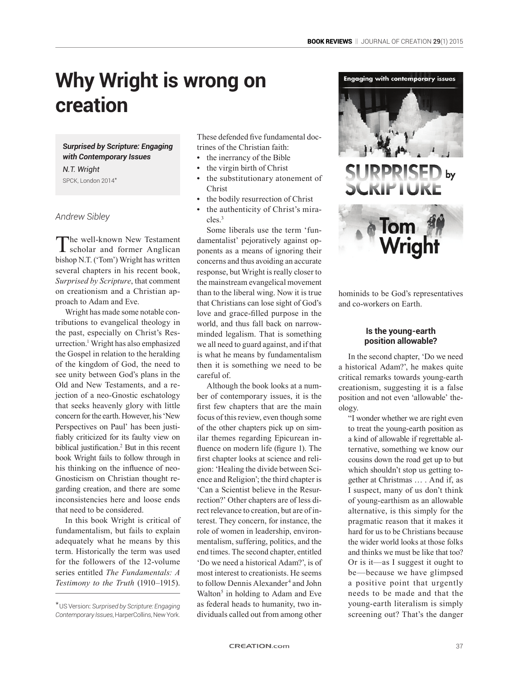# **Why Wright is wrong on creation**

*Surprised by Scripture: Engaging with Contemporary Issues*

*N.T. Wright* SPCK, London 2014\*

## *Andrew Sibley*

The well-known New Testament<br>
scholar and former Anglican bishop N.T. ('Tom') Wright has written several chapters in his recent book, *Surprised by Scripture*, that comment on creationism and a Christian approach to Adam and Eve.

Wright has made some notable contributions to evangelical theology in the past, especially on Christ's Resurrection.1 Wright has also emphasized the Gospel in relation to the heralding of the kingdom of God, the need to see unity between God's plans in the Old and New Testaments, and a rejection of a neo-Gnostic eschatology that seeks heavenly glory with little concern for the earth. However, his 'New Perspectives on Paul' has been justifiably criticized for its faulty view on biblical justification.<sup>2</sup> But in this recent book Wright fails to follow through in his thinking on the influence of neo-Gnosticism on Christian thought regarding creation, and there are some inconsistencies here and loose ends that need to be considered.

In this book Wright is critical of fundamentalism, but fails to explain adequately what he means by this term. Historically the term was used for the followers of the 12-volume series entitled *The Fundamentals: A Testimony to the Truth* (1910–1915).

These defended five fundamental doctrines of the Christian faith:

- **•** the inerrancy of the Bible
- **•** the virgin birth of Christ
- **•** the substitutionary atonement of Christ
- **•** the bodily resurrection of Christ
- **•** the authenticity of Christ's miracles<sup>3</sup>

Some liberals use the term 'fundamentalist' pejoratively against opponents as a means of ignoring their concerns and thus avoiding an accurate response, but Wright is really closer to the mainstream evangelical movement than to the liberal wing. Now it is true that Christians can lose sight of God's love and grace-filled purpose in the world, and thus fall back on narrowminded legalism. That is something we all need to guard against, and if that is what he means by fundamentalism then it is something we need to be careful of.

Although the book looks at a number of contemporary issues, it is the first few chapters that are the main focus of this review, even though some of the other chapters pick up on similar themes regarding Epicurean influence on modern life (figure 1). The first chapter looks at science and religion: 'Healing the divide between Science and Religion'; the third chapter is 'Can a Scientist believe in the Resurrection?' Other chapters are of less direct relevance to creation, but are of interest. They concern, for instance, the role of women in leadership, environmentalism, suffering, politics, and the end times. The second chapter, entitled 'Do we need a historical Adam?', is of most interest to creationists. He seems to follow Dennis Alexander<sup>4</sup> and John Walton<sup>5</sup> in holding to Adam and Eve as federal heads to humanity, two individuals called out from among other



# **PPRISED** by



hominids to be God's representatives and co-workers on Earth.

#### **Is the young-earth position allowable?**

In the second chapter, 'Do we need a historical Adam?', he makes quite critical remarks towards young-earth creationism, suggesting it is a false position and not even 'allowable' theology.

"I wonder whether we are right even to treat the young-earth position as a kind of allowable if regrettable alternative, something we know our cousins down the road get up to but which shouldn't stop us getting together at Christmas … . And if, as I suspect, many of us don't think of young-earthism as an allowable alternative, is this simply for the pragmatic reason that it makes it hard for us to be Christians because the wider world looks at those folks and thinks we must be like that too? Or is it—as I suggest it ought to be—because we have glimpsed a positive point that urgently needs to be made and that the young-earth literalism is simply screening out? That's the danger

<sup>\*</sup>US Version: *Surprised by Scripture: Engaging Contemporary Issues*, HarperCollins, New York.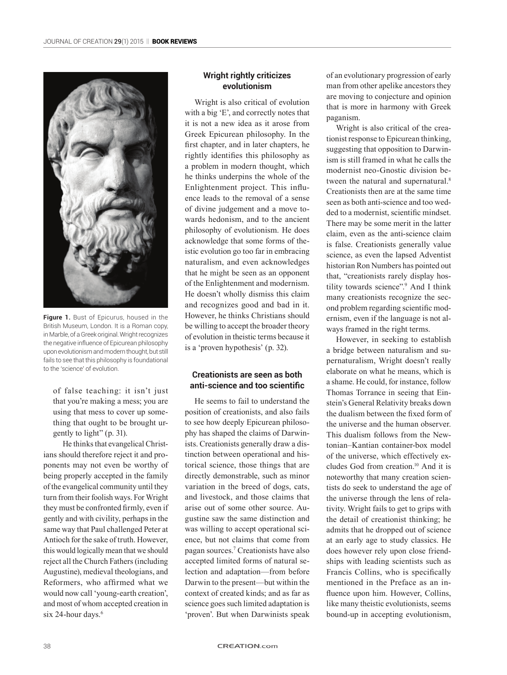

**Figure 1.** Bust of Epicurus, housed in the British Museum, London. It is a Roman copy, in Marble, of a Greek original. Wright recognizes the negative influence of Epicurean philosophy upon evolutionism and modern thought, but still fails to see that this philosophy is foundational to the 'science' of evolution.

of false teaching: it isn't just that you're making a mess; you are using that mess to cover up something that ought to be brought urgently to light" (p. 31).

He thinks that evangelical Christians should therefore reject it and proponents may not even be worthy of being properly accepted in the family of the evangelical community until they turn from their foolish ways. For Wright they must be confronted firmly, even if gently and with civility, perhaps in the same way that Paul challenged Peter at Antioch for the sake of truth. However, this would logically mean that we should reject all the Church Fathers (including Augustine), medieval theologians, and Reformers, who affirmed what we would now call 'young-earth creation', and most of whom accepted creation in six 24-hour days.<sup>6</sup>

### **Wright rightly criticizes evolutionism**

Wright is also critical of evolution with a big 'E', and correctly notes that it is not a new idea as it arose from Greek Epicurean philosophy. In the first chapter, and in later chapters, he rightly identifies this philosophy as a problem in modern thought, which he thinks underpins the whole of the Enlightenment project. This influence leads to the removal of a sense of divine judgement and a move towards hedonism, and to the ancient philosophy of evolutionism. He does acknowledge that some forms of theistic evolution go too far in embracing naturalism, and even acknowledges that he might be seen as an opponent of the Enlightenment and modernism. He doesn't wholly dismiss this claim and recognizes good and bad in it. However, he thinks Christians should be willing to accept the broader theory of evolution in theistic terms because it is a 'proven hypothesis' (p. 32).

#### **Creationists are seen as both anti-science and too scientific**

He seems to fail to understand the position of creationists, and also fails to see how deeply Epicurean philosophy has shaped the claims of Darwinists. Creationists generally draw a distinction between operational and historical science, those things that are directly demonstrable, such as minor variation in the breed of dogs, cats, and livestock, and those claims that arise out of some other source. Augustine saw the same distinction and was willing to accept operational science, but not claims that come from pagan sources.7 Creationists have also accepted limited forms of natural selection and adaptation—from before Darwin to the present—but within the context of created kinds; and as far as science goes such limited adaptation is 'proven'. But when Darwinists speak

of an evolutionary progression of early man from other apelike ancestors they are moving to conjecture and opinion that is more in harmony with Greek paganism.

Wright is also critical of the creationist response to Epicurean thinking, suggesting that opposition to Darwinism is still framed in what he calls the modernist neo-Gnostic division between the natural and supernatural.<sup>8</sup> Creationists then are at the same time seen as both anti-science and too wedded to a modernist, scientific mindset. There may be some merit in the latter claim, even as the anti-science claim is false. Creationists generally value science, as even the lapsed Adventist historian Ron Numbers has pointed out that, "creationists rarely display hostility towards science".9 And I think many creationists recognize the second problem regarding scientific modernism, even if the language is not always framed in the right terms.

However, in seeking to establish a bridge between naturalism and supernaturalism, Wright doesn't really elaborate on what he means, which is a shame. He could, for instance, follow Thomas Torrance in seeing that Einstein's General Relativity breaks down the dualism between the fixed form of the universe and the human observer. This dualism follows from the Newtonian–Kantian container-box model of the universe, which effectively excludes God from creation.10 And it is noteworthy that many creation scientists do seek to understand the age of the universe through the lens of relativity. Wright fails to get to grips with the detail of creationist thinking; he admits that he dropped out of science at an early age to study classics. He does however rely upon close friendships with leading scientists such as Francis Collins, who is specifically mentioned in the Preface as an influence upon him. However, Collins, like many theistic evolutionists, seems bound-up in accepting evolutionism,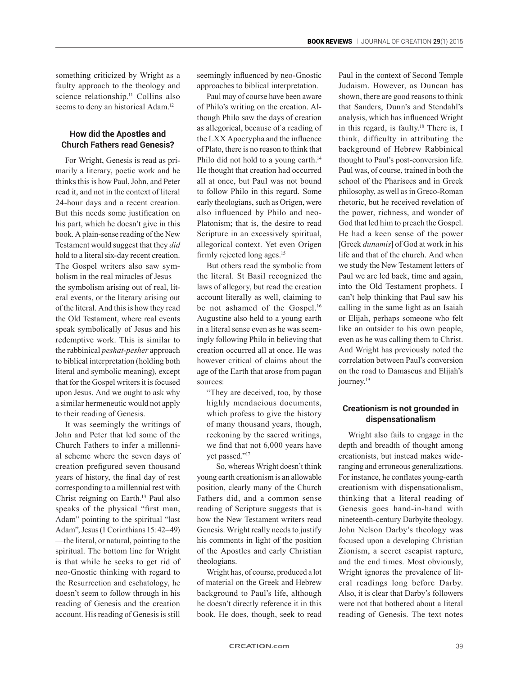something criticized by Wright as a faulty approach to the theology and science relationship.<sup>11</sup> Collins also seems to deny an historical Adam.<sup>12</sup>

#### **How did the Apostles and Church Fathers read Genesis?**

For Wright, Genesis is read as primarily a literary, poetic work and he thinks this is how Paul, John, and Peter read it, and not in the context of literal 24-hour days and a recent creation. But this needs some justification on his part, which he doesn't give in this book. A plain-sense reading of the New Testament would suggest that they *did* hold to a literal six-day recent creation. The Gospel writers also saw symbolism in the real miracles of Jesus the symbolism arising out of real, literal events, or the literary arising out of the literal. And this is how they read the Old Testament, where real events speak symbolically of Jesus and his redemptive work. This is similar to the rabbinical *peshat*-*pesher* approach to biblical interpretation (holding both literal and symbolic meaning), except that for the Gospel writers it is focused upon Jesus. And we ought to ask why a similar hermeneutic would not apply to their reading of Genesis.

It was seemingly the writings of John and Peter that led some of the Church Fathers to infer a millennial scheme where the seven days of creation prefigured seven thousand years of history, the final day of rest corresponding to a millennial rest with Christ reigning on Earth.<sup>13</sup> Paul also speaks of the physical "first man, Adam" pointing to the spiritual "last Adam", Jesus (1 Corinthians 15: 42–49) —the literal, or natural, pointing to the spiritual. The bottom line for Wright is that while he seeks to get rid of neo-Gnostic thinking with regard to the Resurrection and eschatology, he doesn't seem to follow through in his reading of Genesis and the creation account. His reading of Genesis is still seemingly influenced by neo-Gnostic approaches to biblical interpretation.

Paul may of course have been aware of Philo's writing on the creation. Although Philo saw the days of creation as allegorical, because of a reading of the LXX Apocrypha and the influence of Plato, there is no reason to think that Philo did not hold to a young earth.<sup>14</sup> He thought that creation had occurred all at once, but Paul was not bound to follow Philo in this regard. Some early theologians, such as Origen, were also influenced by Philo and neo-Platonism; that is, the desire to read Scripture in an excessively spiritual, allegorical context. Yet even Origen firmly rejected long ages.<sup>15</sup>

But others read the symbolic from the literal. St Basil recognized the laws of allegory, but read the creation account literally as well, claiming to be not ashamed of the Gospel.<sup>16</sup> Augustine also held to a young earth in a literal sense even as he was seemingly following Philo in believing that creation occurred all at once. He was however critical of claims about the age of the Earth that arose from pagan sources:

"They are deceived, too, by those highly mendacious documents, which profess to give the history of many thousand years, though, reckoning by the sacred writings, we find that not 6,000 years have yet passed."17

So, whereas Wright doesn't think young earth creationism is an allowable position, clearly many of the Church Fathers did, and a common sense reading of Scripture suggests that is how the New Testament writers read Genesis. Wright really needs to justify his comments in light of the position of the Apostles and early Christian theologians.

Wright has, of course, produced a lot of material on the Greek and Hebrew background to Paul's life, although he doesn't directly reference it in this book. He does, though, seek to read Paul in the context of Second Temple Judaism. However, as Duncan has shown, there are good reasons to think that Sanders, Dunn's and Stendahl's analysis, which has influenced Wright in this regard, is faulty.<sup>18</sup> There is, I think, difficulty in attributing the background of Hebrew Rabbinical thought to Paul's post-conversion life. Paul was, of course, trained in both the school of the Pharisees and in Greek philosophy, as well as in Greco-Roman rhetoric, but he received revelation of the power, richness, and wonder of God that led him to preach the Gospel. He had a keen sense of the power [Greek *dunamis*] of God at work in his life and that of the church. And when we study the New Testament letters of Paul we are led back, time and again, into the Old Testament prophets. I can't help thinking that Paul saw his calling in the same light as an Isaiah or Elijah, perhaps someone who felt like an outsider to his own people, even as he was calling them to Christ. And Wright has previously noted the correlation between Paul's conversion on the road to Damascus and Elijah's journey.<sup>19</sup>

#### **Creationism is not grounded in dispensationalism**

Wright also fails to engage in the depth and breadth of thought among creationists, but instead makes wideranging and erroneous generalizations. For instance, he conflates young-earth creationism with dispensationalism, thinking that a literal reading of Genesis goes hand-in-hand with nineteenth-century Darbyite theology. John Nelson Darby's theology was focused upon a developing Christian Zionism, a secret escapist rapture, and the end times. Most obviously, Wright ignores the prevalence of literal readings long before Darby. Also, it is clear that Darby's followers were not that bothered about a literal reading of Genesis. The text notes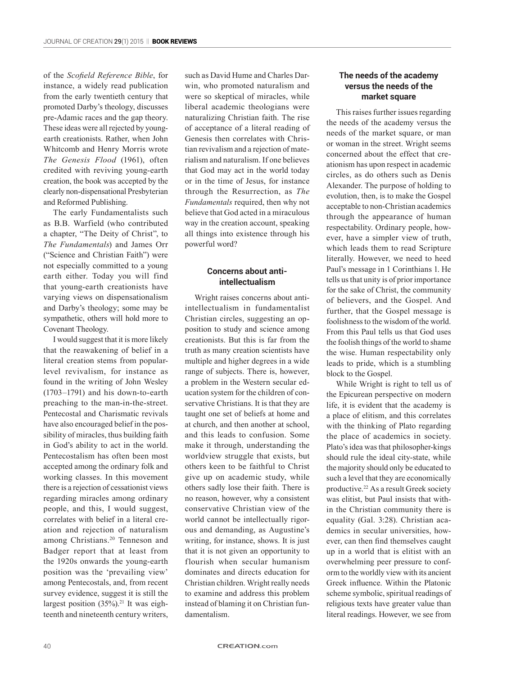of the *Scofield Reference Bible*, for instance, a widely read publication from the early twentieth century that promoted Darby's theology, discusses pre-Adamic races and the gap theory. These ideas were all rejected by youngearth creationists. Rather, when John Whitcomb and Henry Morris wrote *The Genesis Flood* (1961), often credited with reviving young-earth creation, the book was accepted by the clearly non-dispensational Presbyterian and Reformed Publishing.

The early Fundamentalists such as B.B. Warfield (who contributed a chapter, "The Deity of Christ", to *The Fundamentals*) and James Orr ("Science and Christian Faith") were not especially committed to a young earth either. Today you will find that young-earth creationists have varying views on dispensationalism and Darby's theology; some may be sympathetic, others will hold more to Covenant Theology.

I would suggest that it is more likely that the reawakening of belief in a literal creation stems from popularlevel revivalism, for instance as found in the writing of John Wesley (1703–1791) and his down-to-earth preaching to the man-in-the-street. Pentecostal and Charismatic revivals have also encouraged belief in the possibility of miracles, thus building faith in God's ability to act in the world. Pentecostalism has often been most accepted among the ordinary folk and working classes. In this movement there is a rejection of cessationist views regarding miracles among ordinary people, and this, I would suggest, correlates with belief in a literal creation and rejection of naturalism among Christians.20 Tenneson and Badger report that at least from the 1920s onwards the young-earth position was the 'prevailing view' among Pentecostals, and, from recent survey evidence, suggest it is still the largest position  $(35\%)$ .<sup>21</sup> It was eighteenth and nineteenth century writers,

such as David Hume and Charles Darwin, who promoted naturalism and were so skeptical of miracles, while liberal academic theologians were naturalizing Christian faith. The rise of acceptance of a literal reading of Genesis then correlates with Christian revivalism and a rejection of materialism and naturalism. If one believes that God may act in the world today or in the time of Jesus, for instance through the Resurrection, as *The Fundamentals* required, then why not believe that God acted in a miraculous way in the creation account, speaking all things into existence through his powerful word?

#### **Concerns about antiintellectualism**

Wright raises concerns about antiintellectualism in fundamentalist Christian circles, suggesting an opposition to study and science among creationists. But this is far from the truth as many creation scientists have multiple and higher degrees in a wide range of subjects. There is, however, a problem in the Western secular education system for the children of conservative Christians. It is that they are taught one set of beliefs at home and at church, and then another at school, and this leads to confusion. Some make it through, understanding the worldview struggle that exists, but others keen to be faithful to Christ give up on academic study, while others sadly lose their faith. There is no reason, however, why a consistent conservative Christian view of the world cannot be intellectually rigorous and demanding, as Augustine's writing, for instance, shows. It is just that it is not given an opportunity to flourish when secular humanism dominates and directs education for Christian children. Wright really needs to examine and address this problem instead of blaming it on Christian fundamentalism.

#### **The needs of the academy versus the needs of the market square**

This raises further issues regarding the needs of the academy versus the needs of the market square, or man or woman in the street. Wright seems concerned about the effect that creationism has upon respect in academic circles, as do others such as Denis Alexander. The purpose of holding to evolution, then, is to make the Gospel acceptable to non-Christian academics through the appearance of human respectability. Ordinary people, however, have a simpler view of truth, which leads them to read Scripture literally. However, we need to heed Paul's message in 1 Corinthians 1. He tells us that unity is of prior importance for the sake of Christ, the community of believers, and the Gospel. And further, that the Gospel message is foolishness to the wisdom of the world. From this Paul tells us that God uses the foolish things of the world to shame the wise. Human respectability only leads to pride, which is a stumbling block to the Gospel.

While Wright is right to tell us of the Epicurean perspective on modern life, it is evident that the academy is a place of elitism, and this correlates with the thinking of Plato regarding the place of academics in society. Plato's idea was that philosopher-kings should rule the ideal city-state, while the majority should only be educated to such a level that they are economically productive.22 As a result Greek society was elitist, but Paul insists that within the Christian community there is equality (Gal. 3:28). Christian academics in secular universities, however, can then find themselves caught up in a world that is elitist with an overwhelming peer pressure to conform to the worldly view with its ancient Greek influence. Within the Platonic scheme symbolic, spiritual readings of religious texts have greater value than literal readings. However, we see from